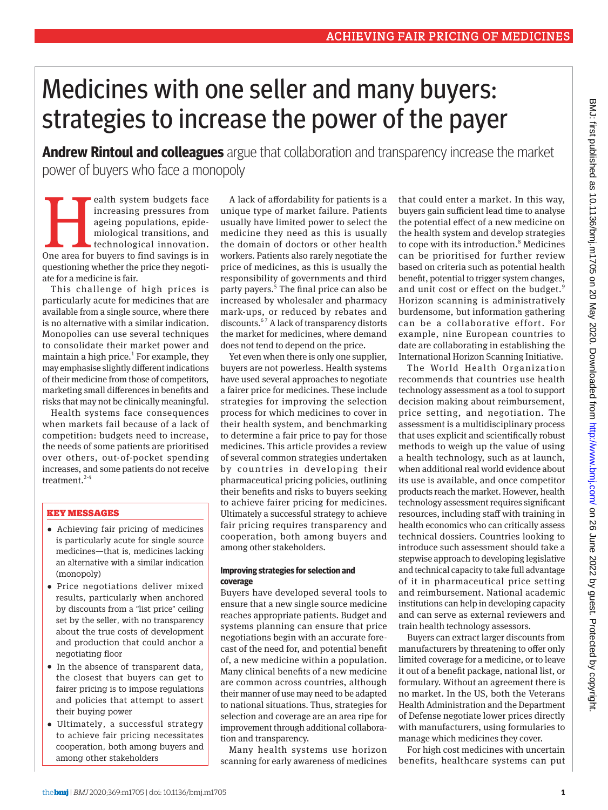# Medicines with one seller and many buyers: strategies to increase the power of the payer

**Andrew Rintoul and colleagues** argue that collaboration and transparency increase the market power of buyers who face a monopoly

ealth system budgets face<br>
increasing pressures from<br>
ageing populations, epide-<br>
miological transitions, and<br>
technological innovation.<br>
One area for buyers to find savings is in increasing pressures from ageing populations, epidemiological transitions, and technological innovation. questioning whether the price they negotiate for a medicine is fair.

This challenge of high prices is particularly acute for medicines that are available from a single source, where there is no alternative with a similar indication. Monopolies can use several techniques to consolidate their market power and maintain a high price.<sup>1</sup> For example, they may emphasise slightly different indications of their medicine from those of competitors, marketing small differences in benefits and risks that may not be clinically meaningful.

Health systems face consequences when markets fail because of a lack of competition: budgets need to increase, the needs of some patients are prioritised over others, out-of-pocket spending increases, and some patients do not receive treatment.<sup>2-4</sup>

# KEY MESSAGES

- •  Achieving fair pricing of medicines is particularly acute for single source medicines—that is, medicines lacking an alternative with a similar indication (monopoly)
- •  Price negotiations deliver mixed results, particularly when anchored by discounts from a "list price" ceiling set by the seller, with no transparency about the true costs of development and production that could anchor a negotiating floor
- •  In the absence of transparent data, the closest that buyers can get to fairer pricing is to impose regulations and policies that attempt to assert their buying power
- •  Ultimately, a successful strategy to achieve fair pricing necessitates cooperation, both among buyers and among other stakeholders

A lack of affordability for patients is a unique type of market failure. Patients usually have limited power to select the medicine they need as this is usually the domain of doctors or other health workers. Patients also rarely negotiate the price of medicines, as this is usually the responsibility of governments and third party payers.<sup>5</sup> The final price can also be increased by wholesaler and pharmacy mark-ups, or reduced by rebates and discounts.<sup>67</sup> A lack of transparency distorts the market for medicines, where demand does not tend to depend on the price.

Yet even when there is only one supplier, buyers are not powerless. Health systems have used several approaches to negotiate a fairer price for medicines. These include strategies for improving the selection process for which medicines to cover in their health system, and benchmarking to determine a fair price to pay for those medicines. This article provides a review of several common strategies undertaken by countries in developing their pharmaceutical pricing policies, outlining their benefits and risks to buyers seeking to achieve fairer pricing for medicines. Ultimately a successful strategy to achieve fair pricing requires transparency and cooperation, both among buyers and among other stakeholders.

### **Improving strategies for selection and coverage**

Buyers have developed several tools to ensure that a new single source medicine reaches appropriate patients. Budget and systems planning can ensure that price negotiations begin with an accurate forecast of the need for, and potential benefit of, a new medicine within a population. Many clinical benefits of a new medicine are common across countries, although their manner of use may need to be adapted to national situations. Thus, strategies for selection and coverage are an area ripe for improvement through additional collaboration and transparency.

Many health systems use horizon scanning for early awareness of medicines

that could enter a market. In this way, buyers gain sufficient lead time to analyse the potential effect of a new medicine on the health system and develop strategies to cope with its introduction.<sup>8</sup> Medicines can be prioritised for further review based on criteria such as potential health benefit, potential to trigger system changes, and unit cost or effect on the budget.<sup>9</sup> Horizon scanning is administratively burdensome, but information gathering can be a collaborative effort. For example, nine European countries to date are collaborating in establishing the International Horizon Scanning Initiative.

The World Health Organization recommends that countries use health technology assessment as a tool to support decision making about reimbursement, price setting, and negotiation. The assessment is a multidisciplinary process that uses explicit and scientifically robust methods to weigh up the value of using a health technology, such as at launch, when additional real world evidence about its use is available, and once competitor products reach the market. However, health technology assessment requires significant resources, including staff with training in health economics who can critically assess technical dossiers. Countries looking to introduce such assessment should take a stepwise approach to developing legislative and technical capacity to take full advantage of it in pharmaceutical price setting and reimbursement. National academic institutions can help in developing capacity and can serve as external reviewers and train health technology assessors.

Buyers can extract larger discounts from manufacturers by threatening to offer only limited coverage for a medicine, or to leave it out of a benefit package, national list, or formulary. Without an agreement there is no market. In the US, both the Veterans Health Administration and the Department of Defense negotiate lower prices directly with manufacturers, using formularies to manage which medicines they cover.

For high cost medicines with uncertain benefits, healthcare systems can put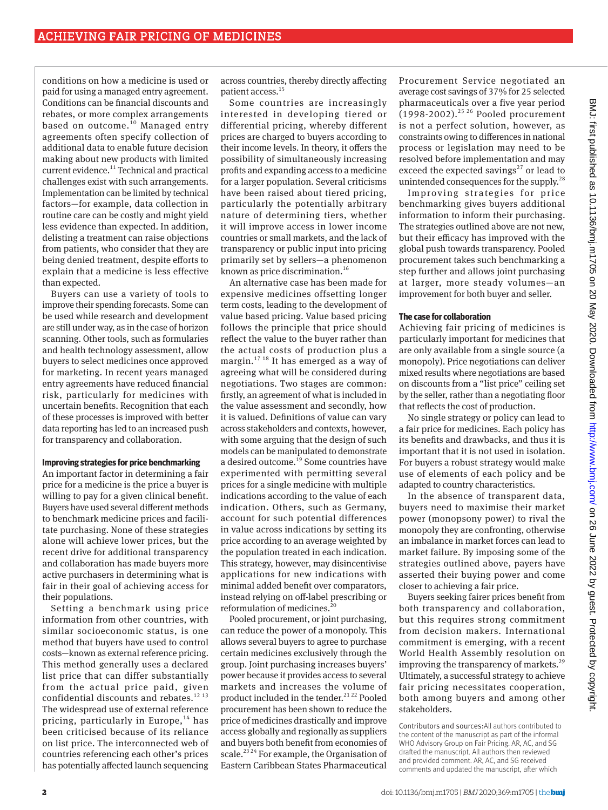conditions on how a medicine is used or paid for using a managed entry agreement. Conditions can be financial discounts and rebates, or more complex arrangements based on outcome. $^{10}$  Managed entry agreements often specify collection of additional data to enable future decision making about new products with limited current evidence.<sup>11</sup> Technical and practical challenges exist with such arrangements. Implementation can be limited by technical factors—for example, data collection in routine care can be costly and might yield less evidence than expected. In addition, delisting a treatment can raise objections from patients, who consider that they are being denied treatment, despite efforts to explain that a medicine is less effective than expected.

Buyers can use a variety of tools to improve their spending forecasts. Some can be used while research and development are still under way, as in the case of horizon scanning. Other tools, such as formularies and health technology assessment, allow buyers to select medicines once approved for marketing. In recent years managed entry agreements have reduced financial risk, particularly for medicines with uncertain benefits. Recognition that each of these processes is improved with better data reporting has led to an increased push for transparency and collaboration.

#### **Improving strategies for price benchmarking**

An important factor in determining a fair price for a medicine is the price a buyer is willing to pay for a given clinical benefit. Buyers have used several different methods to benchmark medicine prices and facilitate purchasing. None of these strategies alone will achieve lower prices, but the recent drive for additional transparency and collaboration has made buyers more active purchasers in determining what is fair in their goal of achieving access for their populations.

Setting a benchmark using price information from other countries, with similar socioeconomic status, is one method that buyers have used to control costs—known as external reference pricing. This method generally uses a declared list price that can differ substantially from the actual price paid, given confidential discounts and rebates.<sup>12 13</sup> The widespread use of external reference pricing, particularly in Europe,  $14$  has been criticised because of its reliance on list price. The interconnected web of countries referencing each other's prices has potentially affected launch sequencing

across countries, thereby directly affecting patient access.<sup>15</sup>

Some countries are increasingly interested in developing tiered or differential pricing, whereby different prices are charged to buyers according to their income levels. In theory, it offers the possibility of simultaneously increasing profits and expanding access to a medicine for a larger population. Several criticisms have been raised about tiered pricing, particularly the potentially arbitrary nature of determining tiers, whether it will improve access in lower income countries or small markets, and the lack of transparency or public input into pricing primarily set by sellers—a phenomenon known as price discrimination.<sup>16</sup>

An alternative case has been made for expensive medicines offsetting longer term costs, leading to the development of value based pricing. Value based pricing follows the principle that price should reflect the value to the buyer rather than the actual costs of production plus a margin.17 18 It has emerged as a way of agreeing what will be considered during negotiations. Two stages are common: firstly, an agreement of what is included in the value assessment and secondly, how it is valued. Definitions of value can vary across stakeholders and contexts, however, with some arguing that the design of such models can be manipulated to demonstrate a desired outcome.19 Some countries have experimented with permitting several prices for a single medicine with multiple indications according to the value of each indication. Others, such as Germany, account for such potential differences in value across indications by setting its price according to an average weighted by the population treated in each indication. This strategy, however, may disincentivise applications for new indications with minimal added benefit over comparators, instead relying on off-label prescribing or reformulation of medicines.<sup>20</sup>

Pooled procurement, or joint purchasing, can reduce the power of a monopoly. This allows several buyers to agree to purchase certain medicines exclusively through the group. Joint purchasing increases buyers' power because it provides access to several markets and increases the volume of product included in the tender.<sup>21 22</sup> Pooled procurement has been shown to reduce the price of medicines drastically and improve access globally and regionally as suppliers and buyers both benefit from economies of scale.<sup>23 24</sup> For example, the Organisation of Eastern Caribbean States Pharmaceutical

Procurement Service negotiated an average cost savings of 37% for 25 selected pharmaceuticals over a five year period (1998-2002).<sup>25 26</sup> Pooled procurement is not a perfect solution, however, as constraints owing to differences in national process or legislation may need to be resolved before implementation and may exceed the expected savings<sup>27</sup> or lead to unintended consequences for the supply.<sup>28</sup>

Improving strategies for price benchmarking gives buyers additional information to inform their purchasing. The strategies outlined above are not new, but their efficacy has improved with the global push towards transparency. Pooled procurement takes such benchmarking a step further and allows joint purchasing at larger, more steady volumes—an improvement for both buyer and seller.

# **The case for collaboration**

Achieving fair pricing of medicines is particularly important for medicines that are only available from a single source (a monopoly). Price negotiations can deliver mixed results where negotiations are based on discounts from a "list price" ceiling set by the seller, rather than a negotiating floor that reflects the cost of production.

No single strategy or policy can lead to a fair price for medicines. Each policy has its benefits and drawbacks, and thus it is important that it is not used in isolation. For buyers a robust strategy would make use of elements of each policy and be adapted to country characteristics.

In the absence of transparent data, buyers need to maximise their market power (monopsony power) to rival the monopoly they are confronting, otherwise an imbalance in market forces can lead to market failure. By imposing some of the strategies outlined above, payers have asserted their buying power and come closer to achieving a fair price.

Buyers seeking fairer prices benefit from both transparency and collaboration, but this requires strong commitment from decision makers. International commitment is emerging, with a recent World Health Assembly resolution on improving the transparency of markets.<sup>29</sup> Ultimately, a successful strategy to achieve fair pricing necessitates cooperation, both among buyers and among other stakeholders.

Contributors and sources:All authors contributed to the content of the manuscript as part of the informal WHO Advisory Group on Fair Pricing. AR, AC, and SG drafted the manuscript. All authors then reviewed and provided comment. AR, AC, and SG received comments and updated the manuscript, after which